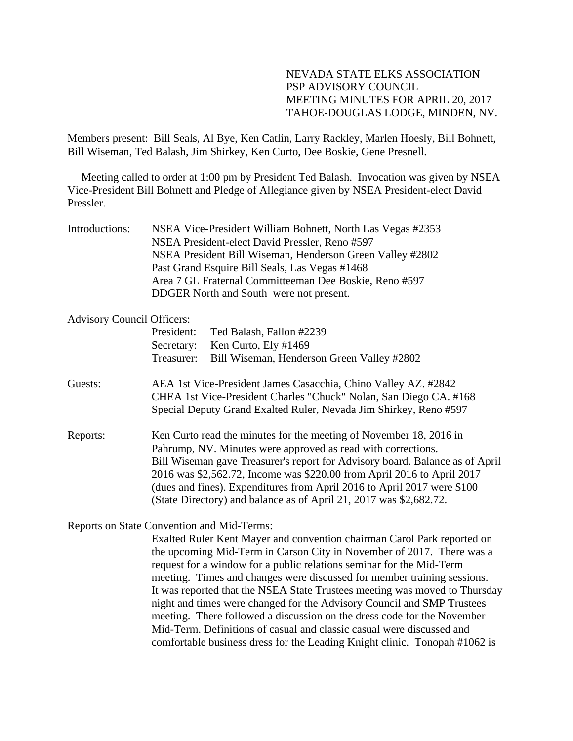## NEVADA STATE ELKS ASSOCIATION PSP ADVISORY COUNCIL MEETING MINUTES FOR APRIL 20, 2017 TAHOE-DOUGLAS LODGE, MINDEN, NV.

Members present: Bill Seals, Al Bye, Ken Catlin, Larry Rackley, Marlen Hoesly, Bill Bohnett, Bill Wiseman, Ted Balash, Jim Shirkey, Ken Curto, Dee Boskie, Gene Presnell.

 Meeting called to order at 1:00 pm by President Ted Balash. Invocation was given by NSEA Vice-President Bill Bohnett and Pledge of Allegiance given by NSEA President-elect David Pressler.

| Introductions: | NSEA Vice-President William Bohnett, North Las Vegas #2353 |
|----------------|------------------------------------------------------------|
|                | NSEA President-elect David Pressler, Reno #597             |
|                | NSEA President Bill Wiseman, Henderson Green Valley #2802  |
|                | Past Grand Esquire Bill Seals, Las Vegas #1468             |
|                | Area 7 GL Fraternal Committeeman Dee Boskie, Reno #597     |
|                | DDGER North and South were not present.                    |

#### Advisory Council Officers:

|                                            | President:                                                                                                                                                                                                                                                                                                                                                                                                                                    | Ted Balash, Fallon #2239                                                |  |
|--------------------------------------------|-----------------------------------------------------------------------------------------------------------------------------------------------------------------------------------------------------------------------------------------------------------------------------------------------------------------------------------------------------------------------------------------------------------------------------------------------|-------------------------------------------------------------------------|--|
|                                            | Secretary:                                                                                                                                                                                                                                                                                                                                                                                                                                    | Ken Curto, Ely #1469                                                    |  |
|                                            | Treasurer:                                                                                                                                                                                                                                                                                                                                                                                                                                    | Bill Wiseman, Henderson Green Valley #2802                              |  |
| Guests:                                    | AEA 1st Vice-President James Casacchia, Chino Valley AZ. #2842<br>CHEA 1st Vice-President Charles "Chuck" Nolan, San Diego CA. #168<br>Special Deputy Grand Exalted Ruler, Nevada Jim Shirkey, Reno #597                                                                                                                                                                                                                                      |                                                                         |  |
| Reports:                                   | Ken Curto read the minutes for the meeting of November 18, 2016 in<br>Pahrump, NV. Minutes were approved as read with corrections.<br>Bill Wiseman gave Treasurer's report for Advisory board. Balance as of April<br>2016 was \$2,562.72, Income was \$220.00 from April 2016 to April 2017<br>(dues and fines). Expenditures from April 2016 to April 2017 were \$100<br>(State Directory) and balance as of April 21, 2017 was \$2,682.72. |                                                                         |  |
| Reports on State Convention and Mid-Terms: |                                                                                                                                                                                                                                                                                                                                                                                                                                               |                                                                         |  |
|                                            |                                                                                                                                                                                                                                                                                                                                                                                                                                               | Evalted Dular Kent Mayor and convention epsimper Carol Derk reported on |  |

Exalted Ruler Kent Mayer and convention chairman Carol Park reported on the upcoming Mid-Term in Carson City in November of 2017. There was a request for a window for a public relations seminar for the Mid-Term meeting. Times and changes were discussed for member training sessions. It was reported that the NSEA State Trustees meeting was moved to Thursday night and times were changed for the Advisory Council and SMP Trustees meeting. There followed a discussion on the dress code for the November Mid-Term. Definitions of casual and classic casual were discussed and comfortable business dress for the Leading Knight clinic. Tonopah #1062 is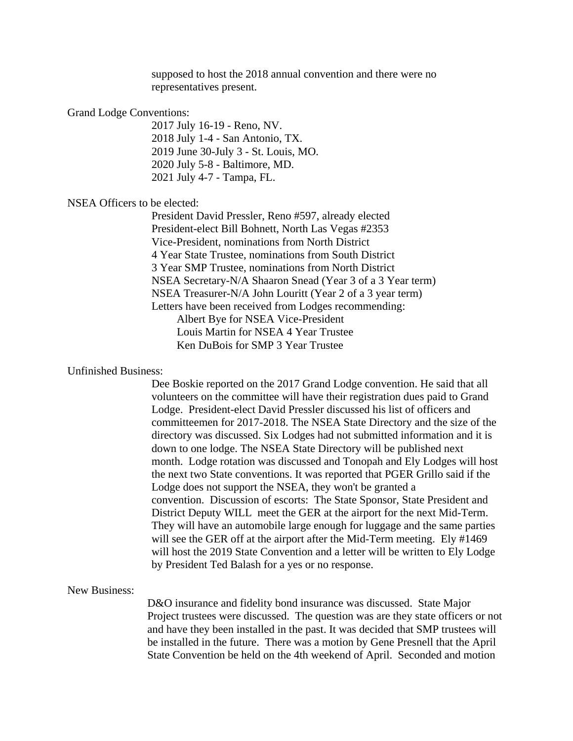supposed to host the 2018 annual convention and there were no representatives present.

#### Grand Lodge Conventions:

 2017 July 16-19 - Reno, NV. 2018 July 1-4 - San Antonio, TX. 2019 June 30-July 3 - St. Louis, MO. 2020 July 5-8 - Baltimore, MD. 2021 July 4-7 - Tampa, FL.

### NSEA Officers to be elected:

 President David Pressler, Reno #597, already elected President-elect Bill Bohnett, North Las Vegas #2353 Vice-President, nominations from North District 4 Year State Trustee, nominations from South District 3 Year SMP Trustee, nominations from North District NSEA Secretary-N/A Shaaron Snead (Year 3 of a 3 Year term) NSEA Treasurer-N/A John Louritt (Year 2 of a 3 year term) Letters have been received from Lodges recommending: Albert Bye for NSEA Vice-President Louis Martin for NSEA 4 Year Trustee Ken DuBois for SMP 3 Year Trustee

#### Unfinished Business:

 Dee Boskie reported on the 2017 Grand Lodge convention. He said that all volunteers on the committee will have their registration dues paid to Grand Lodge. President-elect David Pressler discussed his list of officers and committeemen for 2017-2018. The NSEA State Directory and the size of the directory was discussed. Six Lodges had not submitted information and it is down to one lodge. The NSEA State Directory will be published next month. Lodge rotation was discussed and Tonopah and Ely Lodges will host the next two State conventions. It was reported that PGER Grillo said if the Lodge does not support the NSEA, they won't be granted a convention. Discussion of escorts: The State Sponsor, State President and District Deputy WILL meet the GER at the airport for the next Mid-Term. They will have an automobile large enough for luggage and the same parties will see the GER off at the airport after the Mid-Term meeting. Ely #1469 will host the 2019 State Convention and a letter will be written to Ely Lodge by President Ted Balash for a yes or no response.

#### New Business:

D&O insurance and fidelity bond insurance was discussed. State Major Project trustees were discussed. The question was are they state officers or not and have they been installed in the past. It was decided that SMP trustees will be installed in the future. There was a motion by Gene Presnell that the April State Convention be held on the 4th weekend of April. Seconded and motion